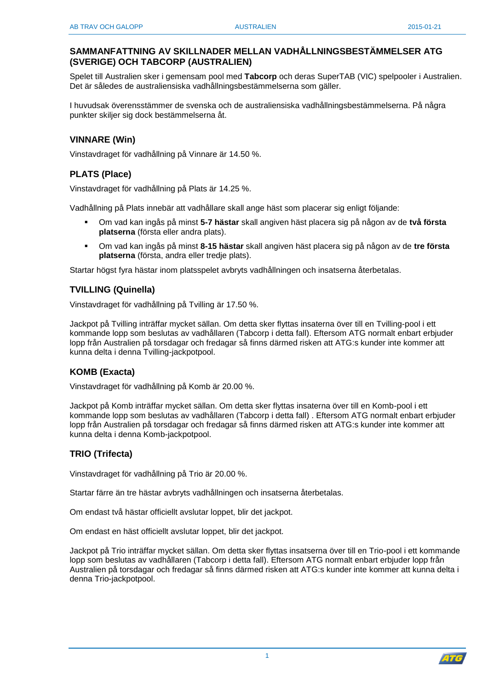# **SAMMANFATTNING AV SKILLNADER MELLAN VADHÅLLNINGSBESTÄMMELSER ATG (SVERIGE) OCH TABCORP (AUSTRALIEN)**

Spelet till Australien sker i gemensam pool med **Tabcorp** och deras SuperTAB (VIC) spelpooler i Australien. Det är således de australiensiska vadhållningsbestämmelserna som gäller.

I huvudsak överensstämmer de svenska och de australiensiska vadhållningsbestämmelserna. På några punkter skiljer sig dock bestämmelserna åt.

## **VINNARE (Win)**

Vinstavdraget för vadhållning på Vinnare är 14.50 %.

# **PLATS (Place)**

Vinstavdraget för vadhållning på Plats är 14.25 %.

Vadhållning på Plats innebär att vadhållare skall ange häst som placerar sig enligt följande:

- Om vad kan ingås på minst **5-7 hästar** skall angiven häst placera sig på någon av de **två första platserna** (första eller andra plats).
- Om vad kan ingås på minst **8-15 hästar** skall angiven häst placera sig på någon av de **tre första platserna** (första, andra eller tredje plats).

Startar högst fyra hästar inom platsspelet avbryts vadhållningen och insatserna återbetalas.

## **TVILLING (Quinella)**

Vinstavdraget för vadhållning på Tvilling är 17.50 %.

Jackpot på Tvilling inträffar mycket sällan. Om detta sker flyttas insaterna över till en Tvilling-pool i ett kommande lopp som beslutas av vadhållaren (Tabcorp i detta fall). Eftersom ATG normalt enbart erbjuder lopp från Australien på torsdagar och fredagar så finns därmed risken att ATG:s kunder inte kommer att kunna delta i denna Tvilling-jackpotpool.

## **KOMB (Exacta)**

Vinstavdraget för vadhållning på Komb är 20.00 %.

Jackpot på Komb inträffar mycket sällan. Om detta sker flyttas insaterna över till en Komb-pool i ett kommande lopp som beslutas av vadhållaren (Tabcorp i detta fall) . Eftersom ATG normalt enbart erbjuder lopp från Australien på torsdagar och fredagar så finns därmed risken att ATG:s kunder inte kommer att kunna delta i denna Komb-jackpotpool.

## **TRIO (Trifecta)**

Vinstavdraget för vadhållning på Trio är 20.00 %.

Startar färre än tre hästar avbryts vadhållningen och insatserna återbetalas.

Om endast två hästar officiellt avslutar loppet, blir det jackpot.

Om endast en häst officiellt avslutar loppet, blir det jackpot.

Jackpot på Trio inträffar mycket sällan. Om detta sker flyttas insatserna över till en Trio-pool i ett kommande lopp som beslutas av vadhållaren (Tabcorp i detta fall). Eftersom ATG normalt enbart erbjuder lopp från Australien på torsdagar och fredagar så finns därmed risken att ATG:s kunder inte kommer att kunna delta i denna Trio-jackpotpool.

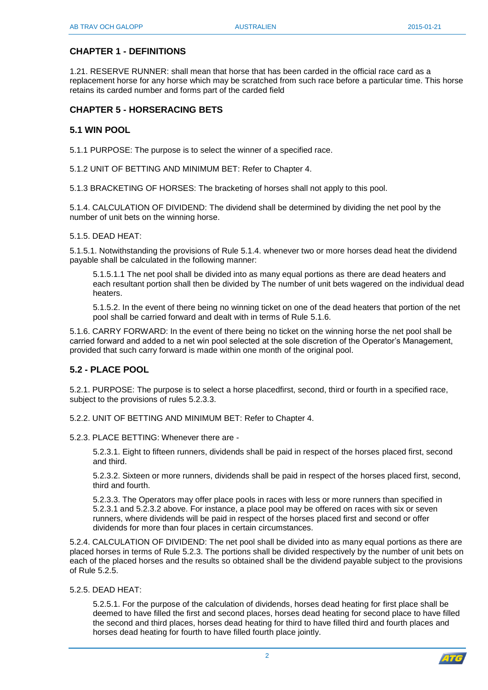# **CHAPTER 1 - DEFINITIONS**

1.21. RESERVE RUNNER: shall mean that horse that has been carded in the official race card as a replacement horse for any horse which may be scratched from such race before a particular time. This horse retains its carded number and forms part of the carded field

## **CHAPTER 5 - HORSERACING BETS**

## **5.1 WIN POOL**

5.1.1 PURPOSE: The purpose is to select the winner of a specified race.

5.1.2 UNIT OF BETTING AND MINIMUM BET: Refer to Chapter 4.

5.1.3 BRACKETING OF HORSES: The bracketing of horses shall not apply to this pool.

5.1.4. CALCULATION OF DIVIDEND: The dividend shall be determined by dividing the net pool by the number of unit bets on the winning horse.

#### 5.1.5. DEAD HEAT:

5.1.5.1. Notwithstanding the provisions of Rule 5.1.4. whenever two or more horses dead heat the dividend payable shall be calculated in the following manner:

5.1.5.1.1 The net pool shall be divided into as many equal portions as there are dead heaters and each resultant portion shall then be divided by The number of unit bets wagered on the individual dead heaters.

5.1.5.2. In the event of there being no winning ticket on one of the dead heaters that portion of the net pool shall be carried forward and dealt with in terms of Rule 5.1.6.

5.1.6. CARRY FORWARD: In the event of there being no ticket on the winning horse the net pool shall be carried forward and added to a net win pool selected at the sole discretion of the Operator's Management, provided that such carry forward is made within one month of the original pool.

## **5.2 - PLACE POOL**

5.2.1. PURPOSE: The purpose is to select a horse placedfirst, second, third or fourth in a specified race, subject to the provisions of rules 5.2.3.3.

5.2.2. UNIT OF BETTING AND MINIMUM BET: Refer to Chapter 4.

5.2.3. PLACE BETTING: Whenever there are -

5.2.3.1. Eight to fifteen runners, dividends shall be paid in respect of the horses placed first, second and third.

5.2.3.2. Sixteen or more runners, dividends shall be paid in respect of the horses placed first, second, third and fourth.

5.2.3.3. The Operators may offer place pools in races with less or more runners than specified in 5.2.3.1 and 5.2.3.2 above. For instance, a place pool may be offered on races with six or seven runners, where dividends will be paid in respect of the horses placed first and second or offer dividends for more than four places in certain circumstances.

5.2.4. CALCULATION OF DIVIDEND: The net pool shall be divided into as many equal portions as there are placed horses in terms of Rule 5.2.3. The portions shall be divided respectively by the number of unit bets on each of the placed horses and the results so obtained shall be the dividend payable subject to the provisions of Rule 5.2.5.

5.2.5. DEAD HEAT:

5.2.5.1. For the purpose of the calculation of dividends, horses dead heating for first place shall be deemed to have filled the first and second places, horses dead heating for second place to have filled the second and third places, horses dead heating for third to have filled third and fourth places and horses dead heating for fourth to have filled fourth place jointly.

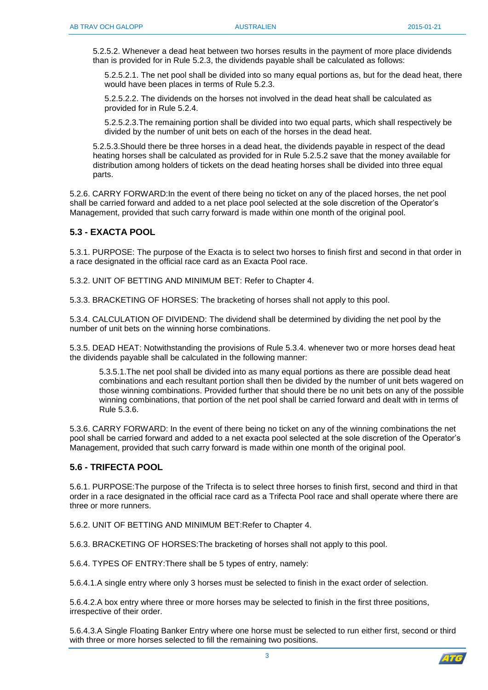5.2.5.2. Whenever a dead heat between two horses results in the payment of more place dividends than is provided for in Rule 5.2.3, the dividends payable shall be calculated as follows:

5.2.5.2.1. The net pool shall be divided into so many equal portions as, but for the dead heat, there would have been places in terms of Rule 5.2.3.

5.2.5.2.2. The dividends on the horses not involved in the dead heat shall be calculated as provided for in Rule 5.2.4.

5.2.5.2.3.The remaining portion shall be divided into two equal parts, which shall respectively be divided by the number of unit bets on each of the horses in the dead heat.

5.2.5.3.Should there be three horses in a dead heat, the dividends payable in respect of the dead heating horses shall be calculated as provided for in Rule 5.2.5.2 save that the money available for distribution among holders of tickets on the dead heating horses shall be divided into three equal parts.

5.2.6. CARRY FORWARD:In the event of there being no ticket on any of the placed horses, the net pool shall be carried forward and added to a net place pool selected at the sole discretion of the Operator's Management, provided that such carry forward is made within one month of the original pool.

## **5.3 - EXACTA POOL**

5.3.1. PURPOSE: The purpose of the Exacta is to select two horses to finish first and second in that order in a race designated in the official race card as an Exacta Pool race.

5.3.2. UNIT OF BETTING AND MINIMUM BET: Refer to Chapter 4.

5.3.3. BRACKETING OF HORSES: The bracketing of horses shall not apply to this pool.

5.3.4. CALCULATION OF DIVIDEND: The dividend shall be determined by dividing the net pool by the number of unit bets on the winning horse combinations.

5.3.5. DEAD HEAT: Notwithstanding the provisions of Rule 5.3.4. whenever two or more horses dead heat the dividends payable shall be calculated in the following manner:

5.3.5.1.The net pool shall be divided into as many equal portions as there are possible dead heat combinations and each resultant portion shall then be divided by the number of unit bets wagered on those winning combinations. Provided further that should there be no unit bets on any of the possible winning combinations, that portion of the net pool shall be carried forward and dealt with in terms of Rule 5.3.6.

5.3.6. CARRY FORWARD: In the event of there being no ticket on any of the winning combinations the net pool shall be carried forward and added to a net exacta pool selected at the sole discretion of the Operator's Management, provided that such carry forward is made within one month of the original pool.

#### **5.6 - TRIFECTA POOL**

5.6.1. PURPOSE:The purpose of the Trifecta is to select three horses to finish first, second and third in that order in a race designated in the official race card as a Trifecta Pool race and shall operate where there are three or more runners.

5.6.2. UNIT OF BETTING AND MINIMUM BET:Refer to Chapter 4.

5.6.3. BRACKETING OF HORSES:The bracketing of horses shall not apply to this pool.

5.6.4. TYPES OF ENTRY:There shall be 5 types of entry, namely:

5.6.4.1.A single entry where only 3 horses must be selected to finish in the exact order of selection.

5.6.4.2.A box entry where three or more horses may be selected to finish in the first three positions, irrespective of their order.

5.6.4.3.A Single Floating Banker Entry where one horse must be selected to run either first, second or third with three or more horses selected to fill the remaining two positions.